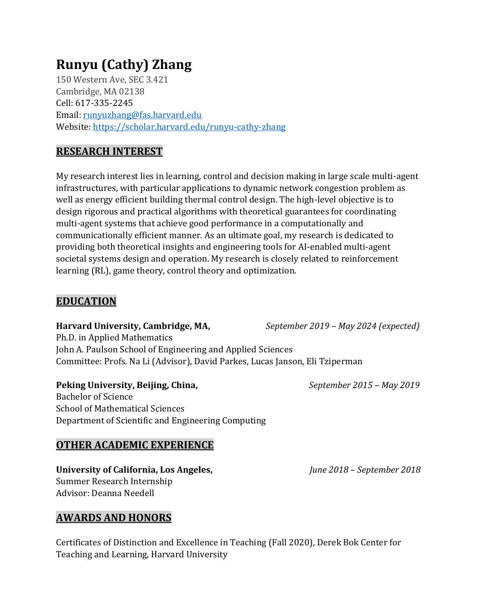# **Runyu (Cathy) Zhang**

150 Western Ave, SEC 3.421 Cambridge, MA 02138 Cell: 617-335-2245 Email: [runyuzhang@fas.harvard.edu](mailto:runyuzhang@fas.harvard.edu) Website[: https://scholar.harvard.edu/runyu-cathy-zhang](https://scholar.harvard.edu/runyu-cathy-zhang)

# **RESEARCH INTEREST**

My research interest lies in learning, control and decision making in large scale multi-agent infrastructures, with particular applications to dynamic network congestion problem as well as energy efficient building thermal control design. The high-level objective is to design rigorous and practical algorithms with theoretical guarantees for coordinating multi-agent systems that achieve good performance in a computationally and communicationally efficient manner. As an ultimate goal, my research is dedicated to providing both theoretical insights and engineering tools for AI-enabled multi-agent societal systems design and operation. My research is closely related to reinforcement learning (RL), game theory, control theory and optimization.

# **EDUCATION**

Ph.D. in Applied Mathematics John A. Paulson School of Engineering and Applied Sciences Committee: Profs. Na Li (Advisor), David Parkes, Lucas Janson, Eli Tziperman

# **Peking University, Beijing, China,** *September 2015 – May 2019*

Bachelor of Science School of Mathematical Sciences Department of Scientific and Engineering Computing

# **OTHER ACADEMIC EXPERIENCE**

#### **University of California, Los Angeles,** *June 2018 – September 2018* Summer Research Internship Advisor: Deanna Needell

# **AWARDS AND HONORS**

Certificates of Distinction and Excellence in Teaching (Fall 2020), Derek Bok Center for Teaching and Learning, Harvard University

**Harvard University, Cambridge, MA,** *September 2019 – May 2024 (expected)*